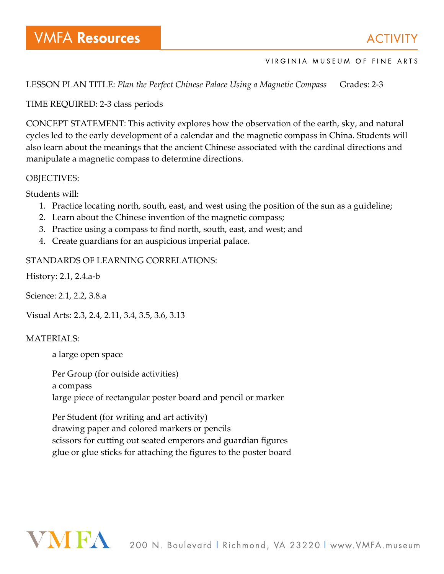LESSON PLAN TITLE: *Plan the Perfect Chinese Palace Using a Magnetic Compass* Grades: 2-3

## TIME REQUIRED: 2-3 class periods

CONCEPT STATEMENT: This activity explores how the observation of the earth, sky, and natural cycles led to the early development of a calendar and the magnetic compass in China. Students will also learn about the meanings that the ancient Chinese associated with the cardinal directions and manipulate a magnetic compass to determine directions.

## OBJECTIVES:

Students will:

- 1. Practice locating north, south, east, and west using the position of the sun as a guideline;
- 2. Learn about the Chinese invention of the magnetic compass;
- 3. Practice using a compass to find north, south, east, and west; and
- 4. Create guardians for an auspicious imperial palace.

## STANDARDS OF LEARNING CORRELATIONS:

History: 2.1, 2.4.a-b

Science: 2.1, 2.2, 3.8.a

Visual Arts: 2.3, 2.4, 2.11, 3.4, 3.5, 3.6, 3.13

## MATERIALS:

a large open space

Per Group (for outside activities) a compass large piece of rectangular poster board and pencil or marker

Per Student (for writing and art activity) drawing paper and colored markers or pencils scissors for cutting out seated emperors and guardian figures glue or glue sticks for attaching the figures to the poster board

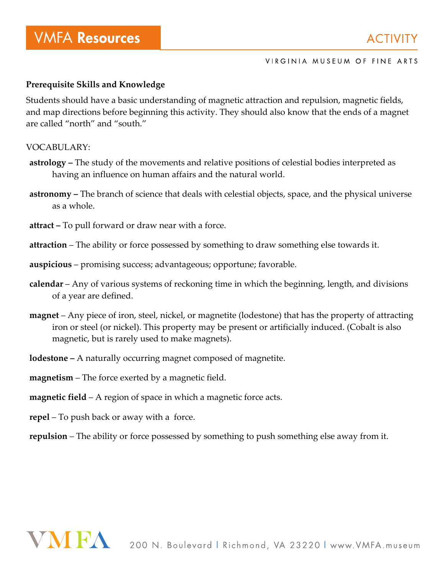## **Prerequisite Skills and Knowledge**

Students should have a basic understanding of magnetic attraction and repulsion, magnetic fields, and map directions before beginning this activity. They should also know that the ends of a magnet are called "north" and "south."

### VOCABULARY:

- **astrology –** The study of the movements and relative positions of celestial bodies interpreted as having an influence on human affairs and the natural world.
- **astronomy –** The branch of science that deals with celestial objects, space, and the physical universe as a whole.
- **attract –** To pull forward or draw near with a force.
- **attraction** The ability or force possessed by something to draw something else towards it.
- **auspicious** promising success; advantageous; opportune; favorable.
- **calendar** Any of various systems of reckoning time in which the beginning, length, and divisions of a year are defined.
- **magnet** Any piece of iron, steel, nickel, or magnetite (lodestone) that has the property of attracting iron or steel (or nickel). This property may be present or artificially induced. (Cobalt is also magnetic, but is rarely used to make magnets).
- **lodestone –** A naturally occurring magnet composed of magnetite.
- **magnetism** The force exerted by a magnetic field.
- **magnetic field** A region of space in which a magnetic force acts.
- **repel** To push back or away with a force.

**repulsion** – The ability or force possessed by something to push something else away from it.

## **VAVIEA**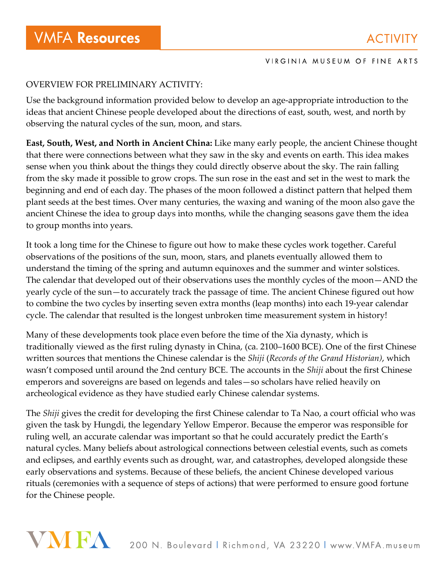## OVERVIEW FOR PRELIMINARY ACTIVITY:

Use the background information provided below to develop an age-appropriate introduction to the ideas that ancient Chinese people developed about the directions of east, south, west, and north by observing the natural cycles of the sun, moon, and stars.

**East, South, West, and North in Ancient China:** Like many early people, the ancient Chinese thought that there were connections between what they saw in the sky and events on earth. This idea makes sense when you think about the things they could directly observe about the sky. The rain falling from the sky made it possible to grow crops. The sun rose in the east and set in the west to mark the beginning and end of each day. The phases of the moon followed a distinct pattern that helped them plant seeds at the best times. Over many centuries, the waxing and waning of the moon also gave the ancient Chinese the idea to group days into months, while the changing seasons gave them the idea to group months into years.

It took a long time for the Chinese to figure out how to make these cycles work together. Careful observations of the positions of the sun, moon, stars, and planets eventually allowed them to understand the timing of the spring and autumn equinoxes and the summer and winter solstices. The calendar that developed out of their observations uses the monthly cycles of the moon—AND the yearly cycle of the sun—to accurately track the passage of time. The ancient Chinese figured out how to combine the two cycles by inserting seven extra months (leap months) into each 19-year calendar cycle. The calendar that resulted is the longest unbroken time measurement system in history!

Many of these developments took place even before the time of the Xia dynasty, which is traditionally viewed as the first ruling dynasty in China, (ca. 2100–1600 BCE). One of the first Chinese written sources that mentions the Chinese calendar is the *Shiji* (*Records of the Grand Historian)*, which wasn't composed until around the 2nd century BCE. The accounts in the *Shiji* about the first Chinese emperors and sovereigns are based on legends and tales—so scholars have relied heavily on archeological evidence as they have studied early Chinese calendar systems.

The *Shiji* gives the credit for developing the first Chinese calendar to Ta Nao, a court official who was given the task by Hungdi, the legendary Yellow Emperor. Because the emperor was responsible for ruling well, an accurate calendar was important so that he could accurately predict the Earth's natural cycles. Many beliefs about astrological connections between celestial events, such as comets and eclipses, and earthly events such as drought, war, and catastrophes, developed alongside these early observations and systems. Because of these beliefs, the ancient Chinese developed various rituals (ceremonies with a sequence of steps of actions) that were performed to ensure good fortune for the Chinese people.

# VNIEA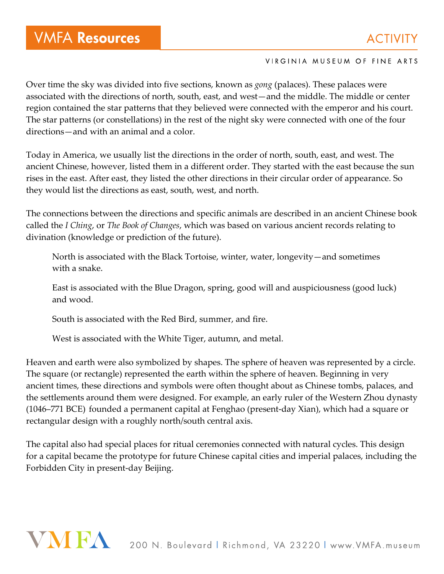Over time the sky was divided into five sections, known as *gong* (palaces). These palaces were associated with the directions of north, south, east, and west—and the middle. The middle or center region contained the star patterns that they believed were connected with the emperor and his court. The star patterns (or constellations) in the rest of the night sky were connected with one of the four directions—and with an animal and a color.

Today in America, we usually list the directions in the order of north, south, east, and west. The ancient Chinese, however, listed them in a different order. They started with the east because the sun rises in the east. After east, they listed the other directions in their circular order of appearance. So they would list the directions as east, south, west, and north.

The connections between the directions and specific animals are described in an ancient Chinese book called the *I Ching*, or *The Book of Changes*, which was based on various ancient records relating to divination (knowledge or prediction of the future).

North is associated with the Black Tortoise, winter, water, longevity—and sometimes with a snake.

East is associated with the Blue Dragon, spring, good will and auspiciousness (good luck) and wood.

South is associated with the Red Bird, summer, and fire.

West is associated with the White Tiger, autumn, and metal.

Heaven and earth were also symbolized by shapes. The sphere of heaven was represented by a circle. The square (or rectangle) represented the earth within the sphere of heaven. Beginning in very ancient times, these directions and symbols were often thought about as Chinese tombs, palaces, and the settlements around them were designed. For example, an early ruler of the Western Zhou dynasty (1046–771 BCE) founded a permanent capital at Fenghao (present-day Xian), which had a square or rectangular design with a roughly north/south central axis.

The capital also had special places for ritual ceremonies connected with natural cycles. This design for a capital became the prototype for future Chinese capital cities and imperial palaces, including the Forbidden City in present-day Beijing.

## VMFA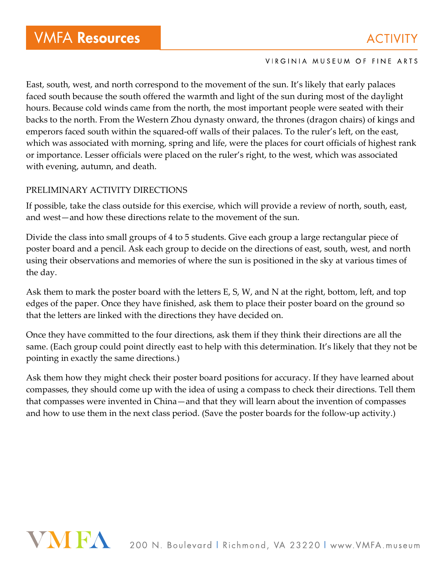East, south, west, and north correspond to the movement of the sun. It's likely that early palaces faced south because the south offered the warmth and light of the sun during most of the daylight hours. Because cold winds came from the north, the most important people were seated with their backs to the north. From the Western Zhou dynasty onward, the thrones (dragon chairs) of kings and emperors faced south within the squared-off walls of their palaces. To the ruler's left, on the east, which was associated with morning, spring and life, were the places for court officials of highest rank or importance. Lesser officials were placed on the ruler's right, to the west, which was associated with evening, autumn, and death.

## PRELIMINARY ACTIVITY DIRECTIONS

If possible, take the class outside for this exercise, which will provide a review of north, south, east, and west—and how these directions relate to the movement of the sun.

Divide the class into small groups of 4 to 5 students. Give each group a large rectangular piece of poster board and a pencil. Ask each group to decide on the directions of east, south, west, and north using their observations and memories of where the sun is positioned in the sky at various times of the day.

Ask them to mark the poster board with the letters E, S, W, and N at the right, bottom, left, and top edges of the paper. Once they have finished, ask them to place their poster board on the ground so that the letters are linked with the directions they have decided on.

Once they have committed to the four directions, ask them if they think their directions are all the same. (Each group could point directly east to help with this determination. It's likely that they not be pointing in exactly the same directions.)

Ask them how they might check their poster board positions for accuracy. If they have learned about compasses, they should come up with the idea of using a compass to check their directions. Tell them that compasses were invented in China—and that they will learn about the invention of compasses and how to use them in the next class period. (Save the poster boards for the follow-up activity.)

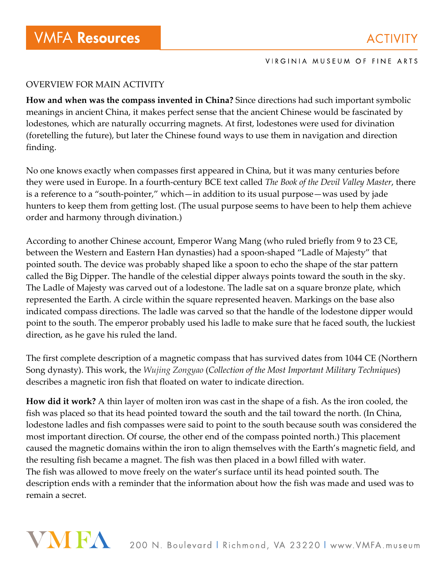## OVERVIEW FOR MAIN ACTIVITY

**How and when was the compass invented in China?** Since directions had such important symbolic meanings in ancient China, it makes perfect sense that the ancient Chinese would be fascinated by lodestones, which are naturally occurring magnets. At first, lodestones were used for divination (foretelling the future), but later the Chinese found ways to use them in navigation and direction finding.

No one knows exactly when compasses first appeared in China, but it was many centuries before they were used in Europe. In a fourth-century BCE text called *The Book of the Devil Valley Master*, there is a reference to a "south-pointer," which—in addition to its usual purpose—was used by jade hunters to keep them from getting lost. (The usual purpose seems to have been to help them achieve order and harmony through divination.)

According to another Chinese account, Emperor Wang Mang (who ruled briefly from 9 to 23 CE, between the Western and Eastern Han dynasties) had a spoon-shaped "Ladle of Majesty" that pointed south. The device was probably shaped like a spoon to echo the shape of the star pattern called the Big Dipper. The handle of the celestial dipper always points toward the south in the sky. The Ladle of Majesty was carved out of a lodestone. The ladle sat on a square bronze plate, which represented the Earth. A circle within the square represented heaven. Markings on the base also indicated compass directions. The ladle was carved so that the handle of the lodestone dipper would point to the south. The emperor probably used his ladle to make sure that he faced south, the luckiest direction, as he gave his ruled the land.

The first complete description of a magnetic compass that has survived dates from 1044 CE (Northern Song dynasty). This work, the *Wujing Zongyao* (*Collection of the Most Important Military Techniques*) describes a magnetic iron fish that floated on water to indicate direction.

**How did it work?** A thin layer of molten iron was cast in the shape of a fish. As the iron cooled, the fish was placed so that its head pointed toward the south and the tail toward the north. (In China, lodestone ladles and fish compasses were said to point to the south because south was considered the most important direction. Of course, the other end of the compass pointed north.) This placement caused the magnetic domains within the iron to align themselves with the Earth's magnetic field, and the resulting fish became a magnet. The fish was then placed in a bowl filled with water. The fish was allowed to move freely on the water's surface until its head pointed south. The description ends with a reminder that the information about how the fish was made and used was to remain a secret.

# VNIFA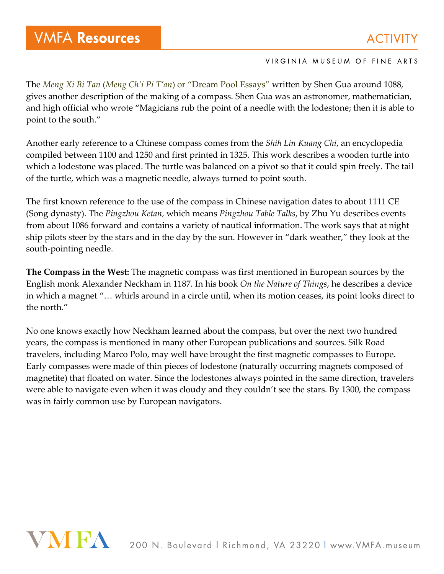The *Meng Xi Bi Tan* (*Meng Ch'i Pi T'an*) or "Dream Pool Essays" written by Shen Gua around 1088, gives another description of the making of a compass. Shen Gua was an astronomer, mathematician, and high official who wrote "Magicians rub the point of a needle with the lodestone; then it is able to point to the south."

Another early reference to a Chinese compass comes from the *Shih Lin Kuang Chi*, an encyclopedia compiled between 1100 and 1250 and first printed in 1325. This work describes a wooden turtle into which a lodestone was placed. The turtle was balanced on a pivot so that it could spin freely. The tail of the turtle, which was a magnetic needle, always turned to point south.

The first known reference to the use of the compass in Chinese navigation dates to about 1111 CE (Song dynasty). The *Pingzhou Ketan*, which means *Pingzhou Table Talks*, by Zhu Yu describes events from about 1086 forward and contains a variety of nautical information. The work says that at night ship pilots steer by the stars and in the day by the sun. However in "dark weather," they look at the south-pointing needle.

**The Compass in the West:** The magnetic compass was first mentioned in European sources by the English monk Alexander Neckham in 1187. In his book *On the Nature of Things*, he describes a device in which a magnet "… whirls around in a circle until, when its motion ceases, its point looks direct to the north."

No one knows exactly how Neckham learned about the compass, but over the next two hundred years, the compass is mentioned in many other European publications and sources. Silk Road travelers, including Marco Polo, may well have brought the first magnetic compasses to Europe. Early compasses were made of thin pieces of lodestone (naturally occurring magnets composed of magnetite) that floated on water. Since the lodestones always pointed in the same direction, travelers were able to navigate even when it was cloudy and they couldn't see the stars. By 1300, the compass was in fairly common use by European navigators.

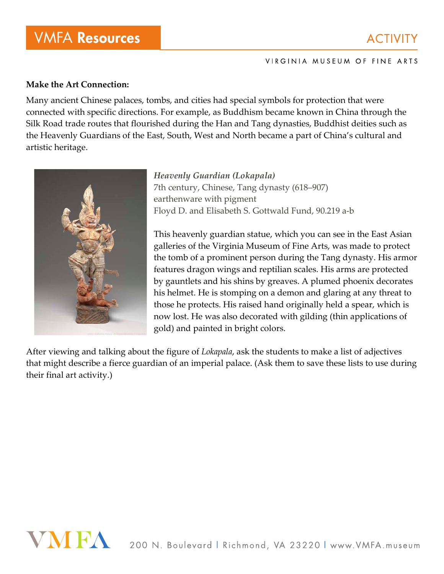## **Make the Art Connection:**

Many ancient Chinese palaces, tombs, and cities had special symbols for protection that were connected with specific directions. For example, as Buddhism became known in China through the Silk Road trade routes that flourished during the Han and Tang dynasties, Buddhist deities such as the Heavenly Guardians of the East, South, West and North became a part of China's cultural and artistic heritage.



*Heavenly Guardian (Lokapala)* 7th century, Chinese, Tang dynasty (618–907) earthenware with pigment Floyd D. and Elisabeth S. Gottwald Fund, 90.219 a-b

This heavenly guardian statue, which you can see in the East Asian galleries of the Virginia Museum of Fine Arts, was made to protect the tomb of a prominent person during the Tang dynasty. His armor features dragon wings and reptilian scales. His arms are protected by gauntlets and his shins by greaves. A plumed phoenix decorates his helmet. He is stomping on a demon and glaring at any threat to those he protects. His raised hand originally held a spear, which is now lost. He was also decorated with gilding (thin applications of gold) and painted in bright colors.

After viewing and talking about the figure of *Lokapala*, ask the students to make a list of adjectives that might describe a fierce guardian of an imperial palace. (Ask them to save these lists to use during their final art activity.)

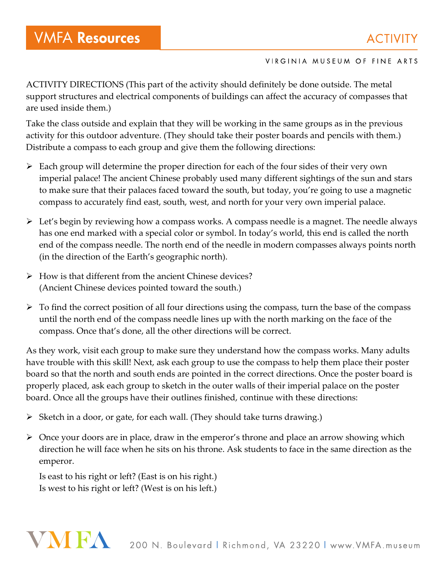ACTIVITY DIRECTIONS (This part of the activity should definitely be done outside. The metal support structures and electrical components of buildings can affect the accuracy of compasses that are used inside them.)

Take the class outside and explain that they will be working in the same groups as in the previous activity for this outdoor adventure. (They should take their poster boards and pencils with them.) Distribute a compass to each group and give them the following directions:

- $\triangleright$  Each group will determine the proper direction for each of the four sides of their very own imperial palace! The ancient Chinese probably used many different sightings of the sun and stars to make sure that their palaces faced toward the south, but today, you're going to use a magnetic compass to accurately find east, south, west, and north for your very own imperial palace.
- Let's begin by reviewing how a compass works. A compass needle is a magnet. The needle always has one end marked with a special color or symbol. In today's world, this end is called the north end of the compass needle. The north end of the needle in modern compasses always points north (in the direction of the Earth's geographic north).
- $\triangleright$  How is that different from the ancient Chinese devices? (Ancient Chinese devices pointed toward the south.)
- $\triangleright$  To find the correct position of all four directions using the compass, turn the base of the compass until the north end of the compass needle lines up with the north marking on the face of the compass. Once that's done, all the other directions will be correct.

As they work, visit each group to make sure they understand how the compass works. Many adults have trouble with this skill! Next, ask each group to use the compass to help them place their poster board so that the north and south ends are pointed in the correct directions. Once the poster board is properly placed, ask each group to sketch in the outer walls of their imperial palace on the poster board. Once all the groups have their outlines finished, continue with these directions:

- $\triangleright$  Sketch in a door, or gate, for each wall. (They should take turns drawing.)
- Once your doors are in place, draw in the emperor's throne and place an arrow showing which direction he will face when he sits on his throne. Ask students to face in the same direction as the emperor.

Is east to his right or left? (East is on his right.) Is west to his right or left? (West is on his left.)

# VNIEA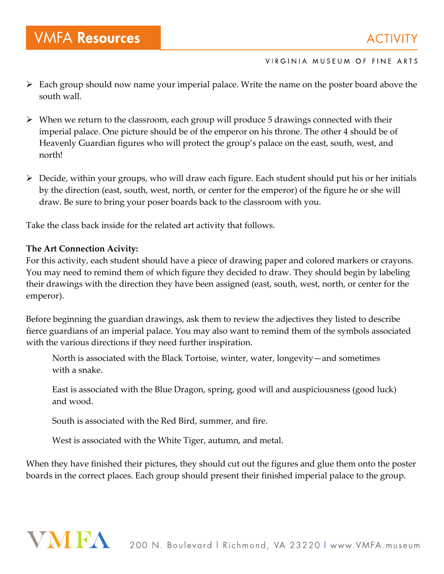- $\triangleright$  Each group should now name your imperial palace. Write the name on the poster board above the south wall.
- $\triangleright$  When we return to the classroom, each group will produce 5 drawings connected with their imperial palace. One picture should be of the emperor on his throne. The other 4 should be of Heavenly Guardian figures who will protect the group's palace on the east, south, west, and north!
- Decide, within your groups, who will draw each figure. Each student should put his or her initials by the direction (east, south, west, north, or center for the emperor) of the figure he or she will draw. Be sure to bring your poser boards back to the classroom with you.

Take the class back inside for the related art activity that follows.

## **The Art Connection Acivity:**

For this activity, each student should have a piece of drawing paper and colored markers or crayons. You may need to remind them of which figure they decided to draw. They should begin by labeling their drawings with the direction they have been assigned (east, south, west, north, or center for the emperor).

Before beginning the guardian drawings, ask them to review the adjectives they listed to describe fierce guardians of an imperial palace. You may also want to remind them of the symbols associated with the various directions if they need further inspiration.

North is associated with the Black Tortoise, winter, water, longevity—and sometimes with a snake.

East is associated with the Blue Dragon, spring, good will and auspiciousness (good luck) and wood.

South is associated with the Red Bird, summer, and fire.

West is associated with the White Tiger, autumn, and metal.

When they have finished their pictures, they should cut out the figures and glue them onto the poster boards in the correct places. Each group should present their finished imperial palace to the group.